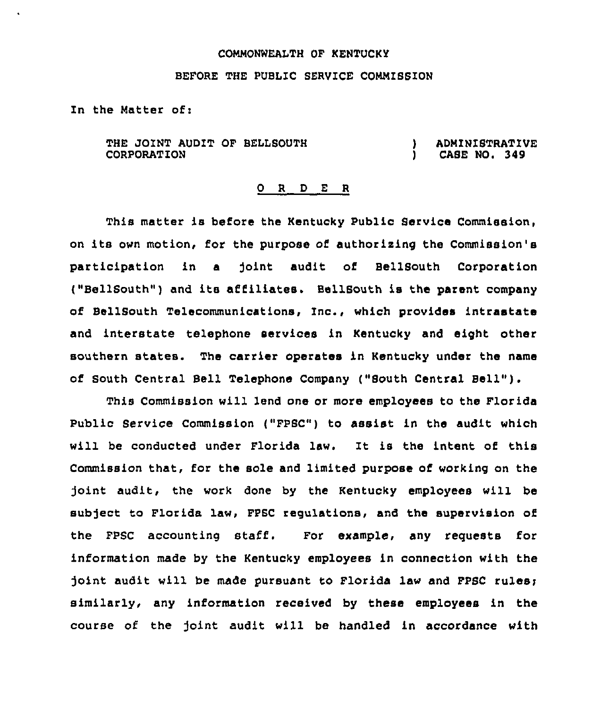## COMMONWEALTH OF KENTUCKY

## BEFORE THE PUBLIC SERVICE COMMISSION

In the Matter of:

THE JOINT AUDIT OF BELLSOUTH CORPORATION

) ADMINISTRATIVE<br>1 CASE NO. 349 CASE NO. 349

## 0 R <sup>D</sup> E R

This matter is before the Kentucky Public Service Commission, on its own motion, for the purpose of authorising the Commission's participation in a joint audit of BellSouth Corporation ("BellSouth") and its affiliates. BellSouth is the parent company of BellSouth Telecommunications, Inc., which provides intrastate and interstate telephone services in Kentucky and eight other southern states. The carrier operates in Kentucky under the name of South Central Bell Telephone Company ("South Central Bell" ).

This Commission will lend one or more employees to the Florida Public Service Commission ("FPSC") to assist in the audit which will be conducted under Florida law. It is the intent of this Commission that, for the sole and limited purpose of working on the Joint audit, the work done by the Kentucky employees will be subject to Florida law, FPSC regulations, and the supervision of the FPSC accounting staff'. For example, any requests for information made by the Kentucky employees in connection with the joint audit will be made pursuant to Florida law and PPSC rules: similarly, any information received by these employees in the course of the Joint audit will be handled in accordance with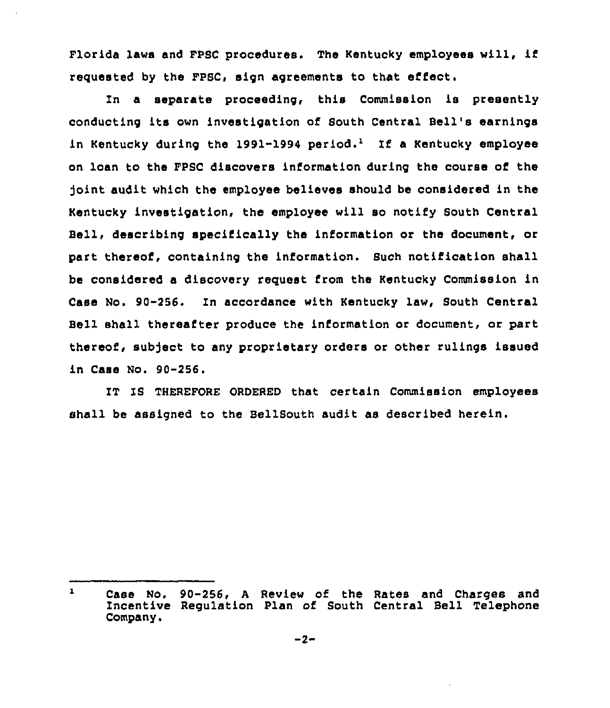Florida laws and FPSC procedures. The Kentucky employees will, if requested by the FPSC, sign agreements to that effect.

In a separate proceeding, this Commission is presently conducting its own investigation of South Central Bell's earnings in Kentucky during the 1991-1994 period.<sup>1</sup> If a Kentucky employee on loan to the FPSC discovers information during the course of the )oint audit which the employee believes should be considered in the Kentucky investigation, the employee will so notify South Central Bell, describing specifically the information or the document, or part thereof, containing the information. Such notification shall be considered a discovery reguest from the Kentucky Commission in Case No. 90-256. In accordance with Kentucky law, South Central Bell shall thereafter produce the information or document, or part thereof, subject to any proprietary orders or other rulings issued in Case No. 90-256.

IT IS THEREFORE ORDERED that certain Commission employees shall be assigned to the BellSouth audit as described herein.

 $\mathbf{1}$ Case No. 90-256, <sup>A</sup> Review of the Rates and Charges and Incentive Regulation Plan of South Central Bell Telephone Company.